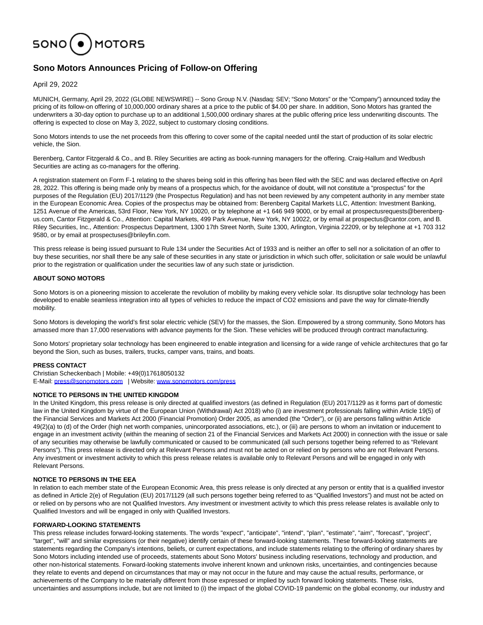

# **Sono Motors Announces Pricing of Follow-on Offering**

April 29, 2022

MUNICH, Germany, April 29, 2022 (GLOBE NEWSWIRE) -- Sono Group N.V. (Nasdaq: SEV; "Sono Motors" or the "Company") announced today the pricing of its follow-on offering of 10,000,000 ordinary shares at a price to the public of \$4.00 per share. In addition, Sono Motors has granted the underwriters a 30-day option to purchase up to an additional 1,500,000 ordinary shares at the public offering price less underwriting discounts. The offering is expected to close on May 3, 2022, subject to customary closing conditions.

Sono Motors intends to use the net proceeds from this offering to cover some of the capital needed until the start of production of its solar electric vehicle, the Sion.

Berenberg, Cantor Fitzgerald & Co., and B. Riley Securities are acting as book-running managers for the offering. Craig-Hallum and Wedbush Securities are acting as co-managers for the offering.

A registration statement on Form F-1 relating to the shares being sold in this offering has been filed with the SEC and was declared effective on April 28, 2022. This offering is being made only by means of a prospectus which, for the avoidance of doubt, will not constitute a "prospectus" for the purposes of the Regulation (EU) 2017/1129 (the Prospectus Regulation) and has not been reviewed by any competent authority in any member state in the European Economic Area. Copies of the prospectus may be obtained from: Berenberg Capital Markets LLC, Attention: Investment Banking, 1251 Avenue of the Americas, 53rd Floor, New York, NY 10020, or by telephone at +1 646 949 9000, or by email at prospectusrequests@berenbergus.com, Cantor Fitzgerald & Co., Attention: Capital Markets, 499 Park Avenue, New York, NY 10022, or by email at prospectus@cantor.com, and B. Riley Securities, Inc., Attention: Prospectus Department, 1300 17th Street North, Suite 1300, Arlington, Virginia 22209, or by telephone at +1 703 312 9580, or by email at prospectuses@brileyfin.com.

This press release is being issued pursuant to Rule 134 under the Securities Act of 1933 and is neither an offer to sell nor a solicitation of an offer to buy these securities, nor shall there be any sale of these securities in any state or jurisdiction in which such offer, solicitation or sale would be unlawful prior to the registration or qualification under the securities law of any such state or jurisdiction.

## **ABOUT SONO MOTORS**

Sono Motors is on a pioneering mission to accelerate the revolution of mobility by making every vehicle solar. Its disruptive solar technology has been developed to enable seamless integration into all types of vehicles to reduce the impact of CO2 emissions and pave the way for climate-friendly mobility.

Sono Motors is developing the world's first solar electric vehicle (SEV) for the masses, the Sion. Empowered by a strong community, Sono Motors has amassed more than 17,000 reservations with advance payments for the Sion. These vehicles will be produced through contract manufacturing.

Sono Motors' proprietary solar technology has been engineered to enable integration and licensing for a wide range of vehicle architectures that go far beyond the Sion, such as buses, trailers, trucks, camper vans, trains, and boats.

## **PRESS CONTACT**

Christian Scheckenbach | Mobile: +49(0)17618050132 E-Mail: [press@sonomotors.com](https://www.globenewswire.com/Tracker?data=CjpQjmUiCnlk-Pm6esWCkYVl5siQLdgEpvFBYCokdRltaTWIDUMAJQz1g8U-iNNwYZuCBUnKA3SfL_3YQ8Rnc3GXYobPmyY1OD_LCBnP5SQ=) | Website: [www.sonomotors.com/press](https://www.globenewswire.com/Tracker?data=a9IHwtTSuUP18mrLJjo-AldJ0Rn_z9yp7YeNrfABnhSSzr5MvpZ7kMrN9mUj5TqQy2kUhgycNs-FJD5oStDac2y0Sf7YXyACHIBgZYEYuK4=)

## **NOTICE TO PERSONS IN THE UNITED KINGDOM**

In the United Kingdom, this press release is only directed at qualified investors (as defined in Regulation (EU) 2017/1129 as it forms part of domestic law in the United Kingdom by virtue of the European Union (Withdrawal) Act 2018) who (i) are investment professionals falling within Article 19(5) of the Financial Services and Markets Act 2000 (Financial Promotion) Order 2005, as amended (the "Order"), or (ii) are persons falling within Article 49(2)(a) to (d) of the Order (high net worth companies, unincorporated associations, etc.), or (iii) are persons to whom an invitation or inducement to engage in an investment activity (within the meaning of section 21 of the Financial Services and Markets Act 2000) in connection with the issue or sale of any securities may otherwise be lawfully communicated or caused to be communicated (all such persons together being referred to as "Relevant Persons"). This press release is directed only at Relevant Persons and must not be acted on or relied on by persons who are not Relevant Persons. Any investment or investment activity to which this press release relates is available only to Relevant Persons and will be engaged in only with Relevant Persons.

## **NOTICE TO PERSONS IN THE EEA**

In relation to each member state of the European Economic Area, this press release is only directed at any person or entity that is a qualified investor as defined in Article 2(e) of Regulation (EU) 2017/1129 (all such persons together being referred to as "Qualified Investors") and must not be acted on or relied on by persons who are not Qualified Investors. Any investment or investment activity to which this press release relates is available only to Qualified Investors and will be engaged in only with Qualified Investors.

### **FORWARD-LOOKING STATEMENTS**

This press release includes forward-looking statements. The words "expect", "anticipate", "intend", "plan", "estimate", "aim", "forecast", "project", "target", "will" and similar expressions (or their negative) identify certain of these forward-looking statements. These forward-looking statements are statements regarding the Company's intentions, beliefs, or current expectations, and include statements relating to the offering of ordinary shares by Sono Motors including intended use of proceeds, statements about Sono Motors' business including reservations, technology and production, and other non-historical statements. Forward-looking statements involve inherent known and unknown risks, uncertainties, and contingencies because they relate to events and depend on circumstances that may or may not occur in the future and may cause the actual results, performance, or achievements of the Company to be materially different from those expressed or implied by such forward looking statements. These risks, uncertainties and assumptions include, but are not limited to (i) the impact of the global COVID-19 pandemic on the global economy, our industry and